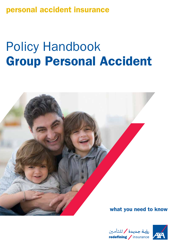personal accident insurance

# Policy Handbook Group Personal Accident



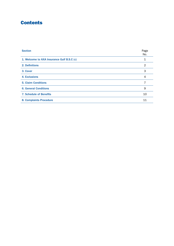# **Contents**

| <b>Section</b>                             | Page<br>No. |
|--------------------------------------------|-------------|
| 1. Welcome to AXA Insurance Gulf B.S.C (c) |             |
| 2. Definitions                             | 2           |
| 3. Cover                                   | 3           |
| 4. Exclusions                              | 4           |
| <b>5. Claim Conditions</b>                 |             |
| <b>6. General Conditions</b>               | 9           |
| <b>7. Schedule of Benefits</b>             | 10          |
| <b>8. Complaints Procedure</b>             | 11          |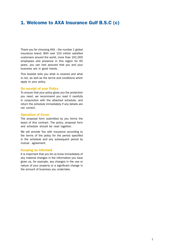## 1. Welcome to AXA Insurance Gulf B.S.C (c)

Thank you for choosing AXA – the number 1 global insurance brand. With over 103 million satisfied customers around the world, more than 161,000 employees and presence in this region for 65 years, you can rest assured that you and your business are in good hands.

This booklet tells you what is covered and what is not, as well as the terms and conditions which apply to your policy.

#### On receipt of your Policy

To ensure that your policy gives you the protection you need, we recommend you read it carefully in conjunction with the attached schedule, and return the schedule immediately if any details are not correct.

#### Operation of Cover

The proposal form submitted by you forms the basis of this contract. The policy, proposal form and schedule should be read together.

We will provide You with insurance according to the terms of the policy for the period specified in the schedule and any subsequent period by mutual agreement.

#### Keeping us informed

It is important that you let us know immediately of any material changes in the information you have given us, for example, any changes in the use or nature of your property or a significant change in the amount of business you undertake.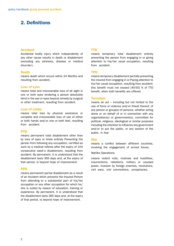# 2. Definitions

#### Accident

Accidental bodily injury which independently of any other cause results in death or disablement (excluding any sickness, disease or medical disorder).

#### **Death**

means death which occurs within 24 Months and resulting from accident.

#### Loss of eyes

means total and irrecoverable loss of all sight in one or both eyes rendering a person absolutely blind in the eye or eyes beyond remedy by surgical or other treatment, resulting from accident.

#### Loss of Limbs

means total loss by physical severance or complete and irrecoverable loss of use of either or both hands and/or one or both feet, resulting from accident.

#### PTD

means permanent total disablement other than by loss of eyes or limbs entirely Preventing the person from following any occupation, certified as such by a medical referee after the expiry of 104 consecutive week's disablement, resulting from accident. By permanent, it is understood that the disablement lasts 365 days and, at the expiry of that period, is beyond hope of improvement.

#### PPD

means permanent partial disablement as a result of an Accident which prevents the Insured Person from attending to a substantial part of his/her occupation or any other occupation for which he/ she is suited by reason of education, training or experience. By permanent, it is understood that the disablement lasts 365 days and, at the expiry of that period, is beyond hope of improvement.

#### TTD

means temporary total disablement entirely preventing the person from engaging in or giving attention to his/her usual occupation, resulting from accident.

#### **TPD**

means temporary disablement partially preventing the insured from engaging in or Paying attention to his/her usual occupation, resulting from accident; this benefit must not exceed [40-50] % of TTD benefit, when both benefits are offered.

#### Terrorism

means an act – including but not limited to the use of force or violence and/or threat thereof, of any person or group(s) of persons, whether acting alone or on behalf of or in connection with any organization(s) or government(s), committed for political, religious, ideological or similar purposes including the intention to influence any government and/or to put the public, or any section of the public, in fear.

#### War

means a conflict between different countries, involving the engagement of armed forces.

#### Warlike Operations

means violent riots, mutinies and hostilities, insurrections, rebellions, military or usurped power, invasion by foreign enemies, revolutions, civil wars, civil commotions, conspiracies.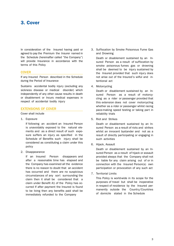## 3. Cover

In consideration of the Insured having paid or agreed to pay the Premium the Insurer named in the Schedule (hereinafter called "the Company") will provide Insurance in accordance with the terms of this Policy

#### **COVER**

If any Insured Person described in the Schedule during the Period of Insurance

Sustains accidental bodily injury (excluding any sickness disease or medical disorder) which independently of any other cause results in death or disablement or Incurs medical expenses in respect of accidental bodily injury

#### EXTENSIONS OF COVER

Cover shall include

1. Exposure

If following an accident an Insured Person is unavoidably exposed to the natural elements and as a direct result of such exposure suffers an injury as specified in the Schedule of Benefits such injury shall be considered as constituting a claim under this policy

2. Disappearance

If an Insured Person disappears and after a reasonable time has elapsed and the Company has examined all the evidence there is no reason to doubt that an accident has occurred and there are no suspicious circumstances of any sort surrounding the claim then it shall be considered that a claim under Benefit A1 of the Policy has occurred If after payment the Insured is found to be living then any benefits paid shall be immediately refunded to the Company

3. Suffocation by Smoke Poisonous Fume Gas and Drowning

Death or disablement sustained by an Insured Person as a result of suffocation by smoke poisonous fumes gas or drowning shall be deemed to be injury sustained by the Insured provided that such injury does not arise out of the Insured's wilful and intentional act

4. Motorcycling

Death or disablement sustained by an Insured Person as a result of motorcycling as a rider or passenger provided that this extension does not cover motorcycling whether as a rider or passenger whilst racing pace-making speed testing or taking part in reliability trials

5. Riot and Strikes

Death or disablement sustained by an Insured Person as a result of riots and strikes whilst an innocent bystander and not as a result of directly participating or engaging in such activities

6. Hijack, Assault

Death or disablement sustained by an Insured Person as a result of hijack or assault provided always that the Company shall not be liable for any claim arising out of or in connection with the Insured Person(s) own participation or provocation of any such act

7. Territorial Limits

This Policy is world-wide in its scope for the purposes of travel but shall be inoperative in respect of residence by the Insured permanently outside the Country/Countries of domicile stated in the Schedule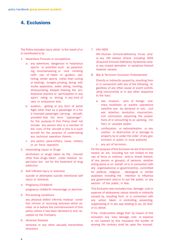## 4. Exclusions

The Policy excludes injury which is the result of or is contributed to by

- 1. Hazardous Pursuits or occupations
	- a. any adventure, dangerous or hazardous sports or activities such as parachuting, mountaineering or rock climbing (with use of ropes or guides), potholing, winter sports (other than curling or skating), bungee jumping, diving with scuba apparatus, water skiing, hunting, show-jumping, steeple chasing; the professional practice or participation in any sport; riding or driving in any kind of race or endurance test.
	- b. aviation, gliding or any form of aerial flight other than as a passenger in a fully licensed passenger carrying aircraft, provided that the term "passenger", for the purpose of this Policy, shall not include any person who is a member of the crew of the aircraft or who is in such aircraft for the purpose of undertaking any technical operation therein.
	- c. any police, para-military, naval, military or air force operation
- 2. Intoxicating Liquor or Drugs

alcoholism or drugs taken by the Insured other than drugs taken under medical supervision but not for the treatment of drug addiction

- 3. Self inflicted injury or sickness suicide or attempted suicide intentional self injury or sickness
- 4. Pregnancy/Childbirth pregnancy childbirth miscarriage or abortion
- 5. Pre-existing conditions

any physical defect infirmity medical condition chronic or recurring sickness which existed at or before the commencement of this policy unless it has been declared to and accepted by the Company

6. Venereal Disease venereal or any other sexually transmitted diseases

7. HIV/AIDS

HIV (Human Immune-deficiency Virus) and/ or any HIV related illness including AIDS (Acquired Immune Deficiency Syndrome) and/ or any mutant derivative or variations thereof however caused

8. War & Terrorism Exclusion Endorsement

Directly or indirectly caused by, resulting from or in connection with any of the following regardless of any other cause or event contributing concurrently or in any other sequence to the loss;

- a. war, invasion, acts of foreign enemies, hostilities or warlike operations (whether war be declared or not), civil war, rebellion, revolution, insurrection, civil commotion assuming the proportions of or amounting to an uprising, military or usurped power;
- b. confiscation or nationalisation or requisition or destruction of or damage to property by or under the order of any government or public or local authority
- c. any act of terrorism.

For the purpose of this Exclusion an act of terrorism means an act, including but not limited to the use of force or violence and/or threat thereof, of any person or group(s) of persons, whether acting alone or on behalf of or in connection with any organisation(s) or government(s), committed for political, religious, ideological or similar purposes including the intention to influence any government and/or to put the public, or any section of the public, in fear.

This Exclusion also excludes loss, damage, cost or expense of whatsoever nature directly or indirectly caused by, resulting from or in connection with any action taken in controlling, preventing, suppressing or in any way relating to (a), (b) and/ or (c) above.

If the Underwriters allege that by reason of this exclusion, any loss, damage, cost or expense is not covered by this insurance the burden of proving the contrary shall be upon the Insured.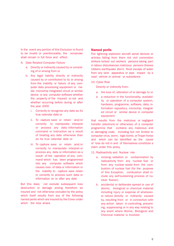In the event any portion of this Exclusion is found to be invalid or unenforceable, the remainder shall remain in full force and effect.

- 9. Date Related Computer Failure
	- a. Directly or indirectly caused by or consisting of or arising from or
	- b. Any legal liability directly or indirectly caused by or contributed to by or arising from the inability or failure of any computer data processing equipment or media microchip integrated circuit or similar device or any computer software whether the property of the Insured or not and whether occurring before during or after the year 2000
		- i. Correctly to recognise any date as its true calendar date or
		- ii. To capture save or retain and/or correctly to manipulate interpret or process any data information command or instruction as a result of treating any date otherwise than as its true calendar date or
		- iii. To capture save or retain and/or correctly to manipulate interpret or process any data or information as a result of the operation of any command which has been programmed into any computer software which causes loss of data or information or the inability to capture save retain or correctly to process such data or information on or after any date

But this does not exclude subsequent loss destruction or damage arising therefrom as insured and not otherwise excluded by the policy which itself results from any of the following named perils which are insured by the Cover under which the loss arises

#### Named perils

Fire lightning explosion aircraft aerial devices or articles falling from them riot civil commotion strikers locked out workers persons taking part in labour disturbances malicious persons thieves robbers earthquake storm flood escape of water from any tank apparatus or pipe impact by a road vehicle or animal or subsidence

10. Cyber Risk

Directly or indirectly from:

- a. the loss of, alteration of or damage to or
- b. a reduction in the functionality, availability or operation of a computer system, hardware, programme, software, data, information repository, microchip, integrated circuit or similar device in computer equipment

that results from the malicious or negligent transfer (electronic or otherwise) of a computer programme that contains any malicious and or damaging code, including but not limited to computer virus, worm, logic bomb, or Trojan horse and which can be identified as the cause of loss do not in and of themselves constitute a claim under this policy.

- 11. Radioactivity and Nuclear risk
	- a. ionising radiation or contamination by radioactivity from any nuclear fuel or from any nuclear waste from the combustion of nuclear fuel (for the purpose of this Exception, combustion shall include any self-sustaining process of nuclear fission).
	- b. accidental or deliberate spread or use of atomic, biological or chemical material including injury or expense of whatsoever nature directly or indirectly caused by, resulting from or in connection with any action taken in controlling, preventing, suppressing or in any way relating to any event where Atomic, Biological and Chemical material is involved.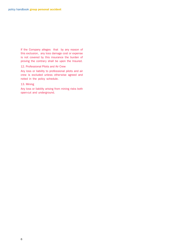If the Company alleges that by any reason of this exclusion, any loss damage cost or expense is not covered by this insurance the burden of proving the contrary shall be upon the Insured.

#### 12. Professional Pilots and Air Crew

Any loss or liability to professional pilots and air crew is excluded unless otherwise agreed and noted in the policy schedule.

#### 13. Mining

Any loss or liability arising from mining risks both open-cut and underground.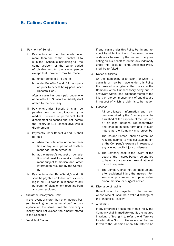## 5. Calims Conditions

#### 1. Payment of Benefit

- i. Payments shall not be made under more than one of the Benefits 1 to 5 in the Schedule pertaining to the same accident or the same period of disablement for the same person except that payment may be made
	- a. under Benefits 3, 4 and 5
	- b. under Benefits 4 and 5 for any period prior to benefit being paid under Benefits 1 or 2

After a claim has been paid under one of Benefits 1 to 3 no further liability shall attach to the Company

- ii. Payments under Benefit 3 shall be payable only on certification by a medical referee of permanent total disablement as defined and not before the expiry of 104 consecutive weeks disablement
- iii. Payments under Benefit 4 and 5 shall be paid
	- a. when the total amount on termination of any one period of disablement has been agreed or
	- b. at the Insured's request on completion of at least four weeks disablement subject to medical and other information required by the Company
- iv. Payments under Benefits 4,5 and 6 shall be payable up to but not exceeding in all 104 weeks in respect of any period(s) of disablement resulting from any one accident
- 2. Aircraft or Conveyance Limit

In the event of more than one Insured Person travelling in the same aircraft or conveyance at the same time the Company's liability shall not exceed the amount stated in the Schedule

3. Fraudulent Claims

If any claim under this Policy be in any respect fraudulent or if any fraudulent means or devices be used by the Insured or anyone acting on his behalf to obtain any indemnity under this Policy all rights under this Policy shall be forfeited

4. Notice of Claims

On the happening of an event for which a claim is or may be made under this Policy the Insured shall give written notice to the Company without unnecessary delay but in any event within one calendar month of the injury or the commencement of any disease in respect of which a claim is to be made

- 5. Evidence
	- i. All certificates information and evidence required by the Company shall be furnished at the expense of the Insured or his legal personal representatives and shall be in such form and of such nature as the Company may prescribe
	- ii. The Insured Person shall as often as required submit to medical examination at the Company's expense in respect of any alleged bodily injury or disease
	- iii. The Company shall in the event of the death of the Insured Person be entitled to have a post- mortem examination at its own expense
	- iv. The Company shall not be liable unless after accidental injury the Insured Person shall procure and act up on professional medical or surgical advice
- 6. Discharge of liability

Benefit shall be payable to the Insured whose receipt shall be a valid discharge of the Insurer's liability

7. Arbitration

If any difference arises out of this Policy the Company shall immediately notify the Insured in writing of his right to refer the difference to arbitration Such difference shall be referred to the decision of an Arbitrator to be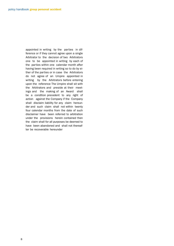appointed in writing by the parties in difference or if they cannot agree upon a single Arbitrator to the decision of two Arbitrators one to be appointed in writing by each of the parties within one calendar month after having been required in writing so to do by either of the parties or in case the Arbitrators do not agree of an Umpire appointed in writing by the Arbitrators before entering upon the reference The Umpire shall sit with the Arbitrators and preside at their meetings and the making of an Award shall be a condition precedent to any right of action against the Company if the Company shall disclaim liability for any claim hereunder and such claim shall not within twenty four calendar months from the date of such disclaimer have been referred to arbitration under the provisions herein contained then the claim shall for all purposes be deemed to have been abandoned and shall not thereafter be recoverable hereunder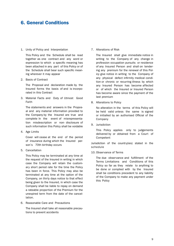## 6. General Conditions

#### 1. Unity of Policy and Interpretation

This Policy and the Schedule shall be read together as one contract and any word or expression to which a specific meaning has been attached in any part of this Policy or of the Schedule shall bear such specific meaning wherever it may appear

2. Basis of Contract

The Proposal and declaration made by the Insured forms the basis of and is incorporated in this Contract

3. Material Facts and Duty of Utmost Good Faith

The statements and answers in the Proposal and any material information provided to the Company by the Insured are true and complete In the event of misrepresentation misdescription or non- disclosure of such information this Policy shall be voidable

4. Age Limits

Cover will cease at the end of the period of insurance during which the Insured person's 70th birthday occurs

5. Cancellation

This Policy may be terminated at any time at the request of the Insured in writing in which case the Company will retain the customary short period rate for the time the Policy has been in force. This Policy may also be terminated at any time at the option of the Company, on thirty days notice to that effect being given to the Insured, in which case the Company shall be liable to repay on demand a rateable proportion of the Premium for the unexpired term from the date of the cancellation.

6. Reasonable Care and Precautions

The Insured shall take all reasonable precautions to prevent accidents

7. Alterations of Risk

The Insured shall give immediate notice in writing to the Company of any change in profession occupation pursuits or residence of any Insured Person and shall on tendering any premium for the renewal of this Policy give notice in writing to the Company of any physical defect infirmity medical condition or chronic or recurring illness by which any Insured Person has become affected or of which the Insured or Insured Person has become aware since the payment of the last premium

8. Alterations to Policy

No alteration in the terms of this Policy will be held valid unless the same is signed or initialled by an authorised Official of the Company

9. Jurisdiction

This Policy applies only to judgements delivered by or obtained from a Court of Competent

Jurisdiction of the country(ies) stated in the schedule

10. Observance of Terms

The due observance and fulfillment of the Terms Limitations and Conditions of this Policy so far as they relate to anything to be done or complied with by the Insured shall be conditions precedent to any liability of the Company to make any payment under this Policy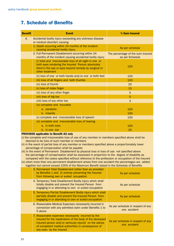# 7. Schedule of Benefits

| <b>Benefit</b> | <b>Event</b>                                                                                                                                                                             | % Sum Insured                                        |
|----------------|------------------------------------------------------------------------------------------------------------------------------------------------------------------------------------------|------------------------------------------------------|
| A.             | Accidental bodily injury (exceeding any sickness disease<br>or medical disorder) causing                                                                                                 |                                                      |
|                | 1. Death occurring within 24 months of the incident<br>causing accidental bodily injury                                                                                                  | As per schedule                                      |
|                | 2. Full Permanent Disablement occurring within 24<br>months of the incident causing accidental bodily injury                                                                             | The percentage of the sum insured<br>as per Schedule |
|                | (i) total and irrecoverable loss of all sight in one or<br>both eyes rendering the Insured Person absolutely<br>blind in the eye or eyes beyond remedy by surgical or<br>other treatment | 100                                                  |
|                | (ii) loss of one or both hands and/or one or both feet                                                                                                                                   | 100                                                  |
|                | (iii) loss of all fingers and both thumbs                                                                                                                                                | 100                                                  |
|                | (iv) loss of thumb                                                                                                                                                                       | 20                                                   |
|                | (v) loss of index finger                                                                                                                                                                 | 15                                                   |
|                | (vi) loss of any other finger                                                                                                                                                            | 5                                                    |
|                | (vii) loss of big toe                                                                                                                                                                    | 5                                                    |
|                | (viii) loss of any other toe                                                                                                                                                             | 3                                                    |
|                | (ix) complete and incurable                                                                                                                                                              |                                                      |
|                | a. paralysis                                                                                                                                                                             | 100                                                  |
|                | b. insanity                                                                                                                                                                              | 100                                                  |
|                | (x) complete and irrecoverable loss of speech                                                                                                                                            | 100                                                  |
|                | (xi) complete and irrecoverable loss of hearing                                                                                                                                          |                                                      |
|                | a. in both ears                                                                                                                                                                          | 100                                                  |
|                | b. in one ear                                                                                                                                                                            | 25                                                   |

#### PROVISOS applicable to Benefit A2 only

- (i) the complete and irrecoverable loss of use of any member or members specified above shall be deemed to be loss of such member or members
- (ii) in the event of partial loss of any member or members specified above a proportionately lower percentage of compensation shall be payable
- (iii) in the event of Permanent Disablement by physical loss or loss of use not specified above the percentage of compensation shall be assessed in proportion to the degree of disability as compared with the cases specified without reference to the profession or occupation of the Insured
- (iv) when more than one permanent disablement arises from one accident the percentages are added together but cannot exceed 100% of the Maximum Benefit stated in the Schedule of Benefits

| 3. Permanent Total Disablement (other than as provided<br>by Benefits 1 and 2) entirely preventing the Insured<br>from following own or suited occupation                                                                                                | As per schedule                                   |
|----------------------------------------------------------------------------------------------------------------------------------------------------------------------------------------------------------------------------------------------------------|---------------------------------------------------|
| 4. Temporary Total Disablement Bodily injury which shall<br>totally disable and prevent the Insured Person from<br>engaging in or attending to own or suited occupation                                                                                  | As per schedule                                   |
| 5. Temporary Partial Disablement Bodily injury which shall<br>partially disable and prevent the Insured Person from<br>engaging in or attending to own or suited occupation                                                                              | As per schedule                                   |
| 6. Reasonable Medical Expenses necessarily incurred in<br>connection with any admitted claim under Benefits 1 to<br>5 above                                                                                                                              | As per schedule in respect of any<br>one accident |
| 7. Reasonable expenses necessarily incurred by the<br>insured for the repatriation of the body of the deceased<br>insured person and/or seriously injured on the advice<br>of competent medical authorities in consequence of<br>any even by the insured | As per schedule in respect of any<br>one accident |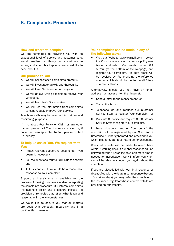## 8. Complaints Procedure

#### How and where to complain

We are committed to providing You with an exceptional level of service and customer care. We do realise that things can sometimes go wrong, and when this happens, We would like to hear about it.

#### Our promise to You

- c. We will acknowledge complaints promptly.
- d. We will investigate quickly and thoroughly.
- e. We will keep You informed of progress.
- f. We will do everything possible to resolve Your complaint.
- g. We will learn from Our mistakes.
- h. We will use the information from complaints to continuously improve Our service.

Telephone calls may be recorded for training and monitoring purposes.

If it is about Your Policy or Claim or any other matter, please call Your insurance adviser or, if none has been appointed by You, please contact Us directly.

#### To help us assist You, We request that You:

- Attach relevant supporting documents if you deem it necessary;
- Ask the questions You would like us to answer; and
- Tell us what You think would be a reasonable response to Your complaint.

Support and assistance is available for the process of making complaints and/or interpreting the complaints procedure. Our internal complaints management policy and procedure include the provision of remedies that reflect what is fair and reasonable in the circumstances.

We would like to assure You that all matters are dealt with seriously, impartially and in a confidential manner.

#### Your complaint can be made in any of the following ways:

■ Visit our Website www.axa-gulf.com - select the Country where your insurance policy was issued and select 'Complaints' under 'AXA & You' (at the bottom of the webpage) and register your complaint. An auto email will be received by You providing the reference number which should be quoted in all future communications.

Alternatively, should you not have an email address or access to the internet:-

- Send a letter to the management: or
- $\blacksquare$  Transmit a fax; or
- **Telephone Us and request our Customer** Service Staff to register Your complaint; or
- Walk into Our office and request Our Customer Service Staff to register Your complaint.

In these situations, and on Your behalf, the complaint will be registered by Our Staff and a Reference Number generated and provided to You which please quote in all future communications.

Whilst all efforts will be made to revert back within 7 working days, if our final response will be delayed beyond 15 working days or if more time is needed for investigation, we will inform you when we will be able to contact you again about the complaint.

If you are dissatisfied with our final response or dissatisfied with the delay in our response (beyond 15 working days) you may refer the complaint to the Insurance Regulator whose contact details are provided on our website.